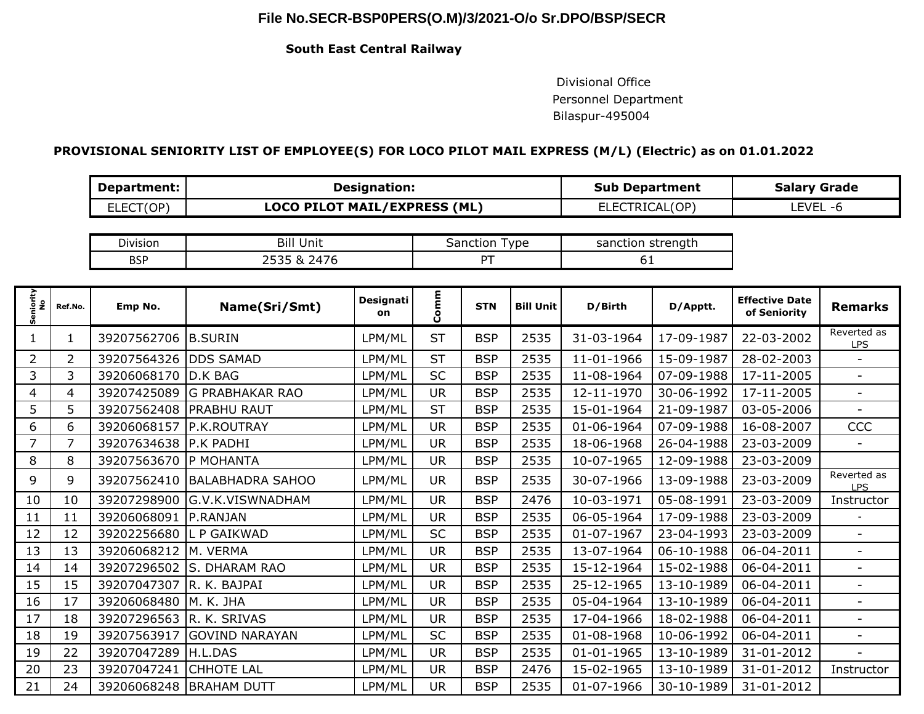# **File No.SECR-BSP0PERS(O.M)/3/2021-O/o Sr.DPO/BSP/SECR**

### **South East Central Railway**

 Divisional Office Personnel Department Bilaspur-495004

## **PROVISIONAL SENIORITY LIST OF EMPLOYEE(S) FOR LOCO PILOT MAIL EXPRESS (M/L) (Electric) as on 01.01.2022**

| Department: | <b>Designation:</b>                 | <b>Sub Department</b> | <b>Salary Grade</b> |  |  |
|-------------|-------------------------------------|-----------------------|---------------------|--|--|
| ELECT(OP)   | <b>LOCO PILOT MAIL/EXPRESS (ML)</b> | <b>ELECTRICAL(OP)</b> | LEVEL<br>- h        |  |  |

| Division   | . .<br>Unit<br>ыш        | vpe<br>ıctıon<br>.ar | strenath<br>$\sim$<br>sanction |
|------------|--------------------------|----------------------|--------------------------------|
| <b>BSP</b> | $\overline{\phantom{a}}$ |                      | ັ<br>$\sim$                    |

| Seniority<br>No | Ref.No.        | Emp No.     | Name(Sri/Smt)           | Designati<br>on | Comm      | <b>STN</b> | <b>Bill Unit</b> | D/Birth          | D/Apptt.   | <b>Effective Date</b><br>of Seniority | <b>Remarks</b>            |
|-----------------|----------------|-------------|-------------------------|-----------------|-----------|------------|------------------|------------------|------------|---------------------------------------|---------------------------|
| 1               | 1              | 39207562706 | <b>B.SURIN</b>          | LPM/ML          | <b>ST</b> | <b>BSP</b> | 2535             | 31-03-1964       | 17-09-1987 | 22-03-2002                            | Reverted as<br><b>LPS</b> |
| $\overline{2}$  | $\overline{2}$ | 39207564326 | <b>DDS SAMAD</b>        | LPM/ML          | <b>ST</b> | <b>BSP</b> | 2535             | 11-01-1966       | 15-09-1987 | 28-02-2003                            | $\blacksquare$            |
| 3               | 3              | 39206068170 | <b>D.K BAG</b>          | LPM/ML          | <b>SC</b> | <b>BSP</b> | 2535             | 11-08-1964       | 07-09-1988 | 17-11-2005                            | $\overline{\phantom{a}}$  |
| 4               | 4              | 39207425089 | <b>G PRABHAKAR RAO</b>  | LPM/ML          | <b>UR</b> | <b>BSP</b> | 2535             | 12-11-1970       | 30-06-1992 | 17-11-2005                            | $\overline{\phantom{a}}$  |
| 5               | 5              | 39207562408 | <b>PRABHU RAUT</b>      | LPM/ML          | <b>ST</b> | <b>BSP</b> | 2535             | 15-01-1964       | 21-09-1987 | 03-05-2006                            |                           |
| 6               | 6              | 39206068157 | P.K.ROUTRAY             | LPM/ML          | <b>UR</b> | <b>BSP</b> | 2535             | 01-06-1964       | 07-09-1988 | 16-08-2007                            | CCC                       |
| $\overline{7}$  | 7              | 39207634638 | <b>P.K PADHI</b>        | LPM/ML          | <b>UR</b> | <b>BSP</b> | 2535             | 18-06-1968       | 26-04-1988 | 23-03-2009                            |                           |
| 8               | 8              | 39207563670 | IP MOHANTA              | LPM/ML          | <b>UR</b> | <b>BSP</b> | 2535             | 10-07-1965       | 12-09-1988 | 23-03-2009                            |                           |
| 9               | 9              | 39207562410 | <b>BALABHADRA SAHOO</b> | LPM/ML          | <b>UR</b> | <b>BSP</b> | 2535             | 30-07-1966       | 13-09-1988 | 23-03-2009                            | Reverted as<br><b>LPS</b> |
| 10              | 10             | 39207298900 | G.V.K.VISWNADHAM        | LPM/ML          | <b>UR</b> | <b>BSP</b> | 2476             | 10-03-1971       | 05-08-1991 | 23-03-2009                            | Instructor                |
| 11              | 11             | 39206068091 | IP.RANJAN               | LPM/ML          | <b>UR</b> | <b>BSP</b> | 2535             | 06-05-1964       | 17-09-1988 | 23-03-2009                            |                           |
| 12              | 12             | 39202256680 | L P GAIKWAD             | LPM/ML          | <b>SC</b> | <b>BSP</b> | 2535             | 01-07-1967       | 23-04-1993 | 23-03-2009                            | $\sim$                    |
| 13              | 13             | 39206068212 | M. VERMA                | LPM/ML          | <b>UR</b> | <b>BSP</b> | 2535             | 13-07-1964       | 06-10-1988 | 06-04-2011                            | $\sim$                    |
| 14              | 14             | 39207296502 | S. DHARAM RAO           | LPM/ML          | <b>UR</b> | <b>BSP</b> | 2535             | 15-12-1964       | 15-02-1988 | 06-04-2011                            | $\blacksquare$            |
| 15              | 15             | 39207047307 | R. K. BAJPAI            | LPM/ML          | <b>UR</b> | <b>BSP</b> | 2535             | 25-12-1965       | 13-10-1989 | 06-04-2011                            | $\overline{\phantom{a}}$  |
| 16              | 17             | 39206068480 | M. K. JHA               | LPM/ML          | <b>UR</b> | <b>BSP</b> | 2535             | 05-04-1964       | 13-10-1989 | 06-04-2011                            | $\overline{a}$            |
| 17              | 18             | 39207296563 | R. K. SRIVAS            | LPM/ML          | <b>UR</b> | <b>BSP</b> | 2535             | 17-04-1966       | 18-02-1988 | 06-04-2011                            | $\overline{\phantom{a}}$  |
| 18              | 19             | 39207563917 | <b>GOVIND NARAYAN</b>   | LPM/ML          | <b>SC</b> | <b>BSP</b> | 2535             | 01-08-1968       | 10-06-1992 | 06-04-2011                            | $\equiv$                  |
| 19              | 22             | 39207047289 | H.L.DAS                 | LPM/ML          | <b>UR</b> | <b>BSP</b> | 2535             | $01 - 01 - 1965$ | 13-10-1989 | 31-01-2012                            | $\overline{a}$            |
| 20              | 23             | 39207047241 | <b>CHHOTE LAL</b>       | LPM/ML          | <b>UR</b> | <b>BSP</b> | 2476             | 15-02-1965       | 13-10-1989 | 31-01-2012                            | Instructor                |
| 21              | 24             | 39206068248 | <b>BRAHAM DUTT</b>      | LPM/ML          | <b>UR</b> | <b>BSP</b> | 2535             | 01-07-1966       | 30-10-1989 | 31-01-2012                            |                           |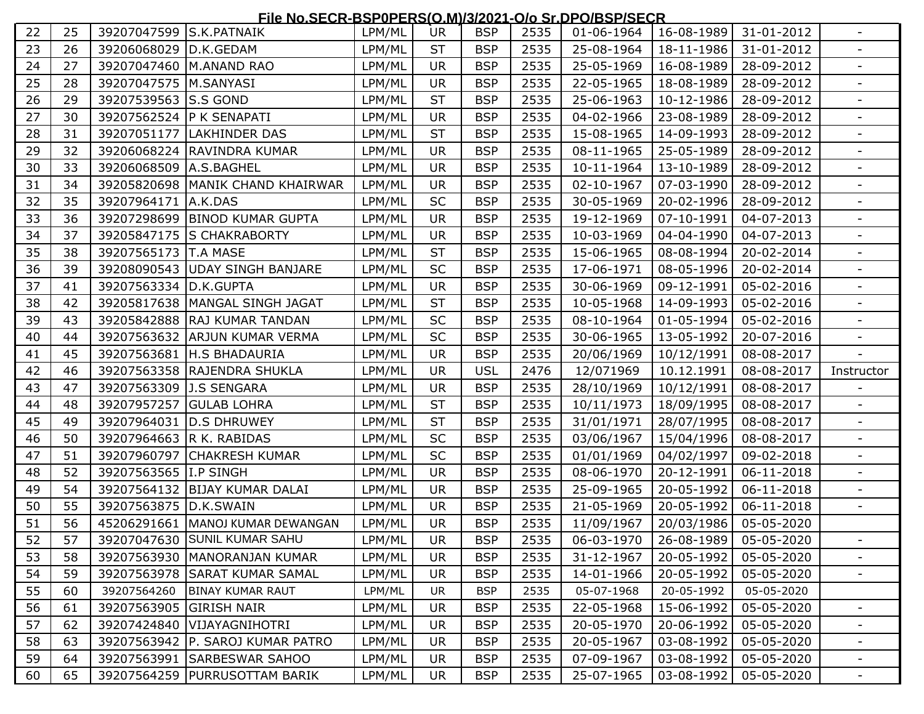#### **File No.SECR-BSP0PERS(O.M)/3/2021-O/o Sr.DPO/BSP/SECR**

|    |    |                         | <u>FIE NO.SECR-BSF OF ERSIO.MINJ/2021-010 SI.DF OIBSF ISLCR</u> |        |           |            |      |            |            |                                      |                          |
|----|----|-------------------------|-----------------------------------------------------------------|--------|-----------|------------|------|------------|------------|--------------------------------------|--------------------------|
| 22 | 25 | 39207047599             | S.K.PATNAIK                                                     | LPM/ML | <b>UR</b> | <b>BSP</b> | 2535 | 01-06-1964 | 16-08-1989 | 31-01-2012                           |                          |
| 23 | 26 | 39206068029             | D.K.GEDAM                                                       | LPM/ML | <b>ST</b> | <b>BSP</b> | 2535 | 25-08-1964 | 18-11-1986 | 31-01-2012                           |                          |
| 24 | 27 | 39207047460             | M.ANAND RAO                                                     | LPM/ML | <b>UR</b> | <b>BSP</b> | 2535 | 25-05-1969 | 16-08-1989 | 28-09-2012                           | $\overline{\phantom{0}}$ |
| 25 | 28 | 39207047575   M.SANYASI |                                                                 | LPM/ML | <b>UR</b> | <b>BSP</b> | 2535 | 22-05-1965 | 18-08-1989 | 28-09-2012                           |                          |
| 26 | 29 | 39207539563 S.S GOND    |                                                                 | LPM/ML | <b>ST</b> | <b>BSP</b> | 2535 | 25-06-1963 | 10-12-1986 | 28-09-2012                           | $\overline{\phantom{a}}$ |
| 27 | 30 | 39207562524             | <b>P K SENAPATI</b>                                             | LPM/ML | <b>UR</b> | <b>BSP</b> | 2535 | 04-02-1966 | 23-08-1989 | 28-09-2012                           | $\overline{\phantom{0}}$ |
| 28 | 31 | 39207051177             | <b>LAKHINDER DAS</b>                                            | LPM/ML | <b>ST</b> | <b>BSP</b> | 2535 | 15-08-1965 | 14-09-1993 | 28-09-2012                           | $\overline{\phantom{a}}$ |
| 29 | 32 | 39206068224             | <b>RAVINDRA KUMAR</b>                                           | LPM/ML | <b>UR</b> | <b>BSP</b> | 2535 | 08-11-1965 | 25-05-1989 | 28-09-2012                           | -                        |
| 30 | 33 | 39206068509             | A.S.BAGHEL                                                      | LPM/ML | <b>UR</b> | <b>BSP</b> | 2535 | 10-11-1964 | 13-10-1989 | 28-09-2012                           |                          |
| 31 | 34 | 39205820698             | MANIK CHAND KHAIRWAR                                            | LPM/ML | <b>UR</b> | <b>BSP</b> | 2535 | 02-10-1967 | 07-03-1990 | 28-09-2012                           | $\overline{\phantom{0}}$ |
| 32 | 35 | 39207964171             | A.K.DAS                                                         | LPM/ML | <b>SC</b> | <b>BSP</b> | 2535 | 30-05-1969 | 20-02-1996 | 28-09-2012                           |                          |
| 33 | 36 | 39207298699             | <b>BINOD KUMAR GUPTA</b>                                        | LPM/ML | <b>UR</b> | <b>BSP</b> | 2535 | 19-12-1969 | 07-10-1991 | 04-07-2013                           | $\overline{\phantom{a}}$ |
| 34 | 37 | 39205847175             | <b>S CHAKRABORTY</b>                                            | LPM/ML | <b>UR</b> | <b>BSP</b> | 2535 | 10-03-1969 | 04-04-1990 | 04-07-2013                           | -                        |
| 35 | 38 | 39207565173             | <b>T.A MASE</b>                                                 | LPM/ML | <b>ST</b> | <b>BSP</b> | 2535 | 15-06-1965 | 08-08-1994 | 20-02-2014                           | $\overline{\phantom{0}}$ |
| 36 | 39 | 39208090543             | <b>UDAY SINGH BANJARE</b>                                       | LPM/ML | SC        | <b>BSP</b> | 2535 | 17-06-1971 | 08-05-1996 | 20-02-2014                           | $\overline{\phantom{0}}$ |
| 37 | 41 | 39207563334             | D.K.GUPTA                                                       | LPM/ML | <b>UR</b> | <b>BSP</b> | 2535 | 30-06-1969 | 09-12-1991 | 05-02-2016                           |                          |
| 38 | 42 | 39205817638             | MANGAL SINGH JAGAT                                              | LPM/ML | <b>ST</b> | <b>BSP</b> | 2535 | 10-05-1968 | 14-09-1993 | 05-02-2016                           | $\overline{\phantom{0}}$ |
| 39 | 43 | 39205842888             | <b>RAJ KUMAR TANDAN</b>                                         | LPM/ML | <b>SC</b> | <b>BSP</b> | 2535 | 08-10-1964 | 01-05-1994 | 05-02-2016                           |                          |
| 40 | 44 | 39207563632             | <b>ARJUN KUMAR VERMA</b>                                        | LPM/ML | <b>SC</b> | <b>BSP</b> | 2535 | 30-06-1965 | 13-05-1992 | 20-07-2016                           | $\overline{\phantom{a}}$ |
| 41 | 45 | 39207563681             | <b>H.S BHADAURIA</b>                                            | LPM/ML | <b>UR</b> | <b>BSP</b> | 2535 | 20/06/1969 | 10/12/1991 | 08-08-2017                           |                          |
| 42 | 46 | 39207563358             | RAJENDRA SHUKLA                                                 | LPM/ML | <b>UR</b> | <b>USL</b> | 2476 | 12/071969  | 10.12.1991 | 08-08-2017                           | Instructor               |
| 43 | 47 | 39207563309             | <b>J.S SENGARA</b>                                              | LPM/ML | <b>UR</b> | <b>BSP</b> | 2535 | 28/10/1969 | 10/12/1991 | 08-08-2017                           |                          |
| 44 | 48 | 39207957257             | <b>GULAB LOHRA</b>                                              | LPM/ML | <b>ST</b> | <b>BSP</b> | 2535 | 10/11/1973 | 18/09/1995 | 08-08-2017                           |                          |
| 45 | 49 | 39207964031             | <b>D.S DHRUWEY</b>                                              | LPM/ML | <b>ST</b> | <b>BSP</b> | 2535 | 31/01/1971 | 28/07/1995 | 08-08-2017                           | $\overline{\phantom{a}}$ |
| 46 | 50 | 39207964663             | R K. RABIDAS                                                    | LPM/ML | <b>SC</b> | <b>BSP</b> | 2535 | 03/06/1967 | 15/04/1996 | 08-08-2017                           |                          |
| 47 | 51 | 39207960797             | <b>CHAKRESH KUMAR</b>                                           | LPM/ML | SC        | <b>BSP</b> | 2535 | 01/01/1969 | 04/02/1997 | 09-02-2018                           | $\overline{\phantom{a}}$ |
| 48 | 52 | 39207563565 I.P SINGH   |                                                                 | LPM/ML | <b>UR</b> | <b>BSP</b> | 2535 | 08-06-1970 | 20-12-1991 | 06-11-2018                           | $\overline{\phantom{a}}$ |
| 49 | 54 | 39207564132             | <b>BIJAY KUMAR DALAI</b>                                        | LPM/ML | <b>UR</b> | <b>BSP</b> | 2535 | 25-09-1965 | 20-05-1992 | 06-11-2018                           |                          |
| 50 | 55 | 39207563875             | D.K.SWAIN                                                       | LPM/ML | <b>UR</b> | <b>BSP</b> | 2535 | 21-05-1969 | 20-05-1992 | 06-11-2018                           | $\overline{\phantom{a}}$ |
| 51 | 56 |                         | 45206291661 MANOJ KUMAR DEWANGAN                                | LPM/ML | <b>UR</b> | <b>BSP</b> | 2535 | 11/09/1967 | 20/03/1986 | 05-05-2020                           |                          |
| 52 | 57 |                         | 39207047630 SUNIL KUMAR SAHU                                    | LPM/ML | <b>UR</b> | <b>BSP</b> | 2535 |            |            | 06-03-1970   26-08-1989   05-05-2020 |                          |
| 53 | 58 |                         | 39207563930   MANORANJAN KUMAR                                  | LPM/ML | <b>UR</b> | <b>BSP</b> | 2535 | 31-12-1967 | 20-05-1992 | 05-05-2020                           |                          |
| 54 | 59 |                         | 39207563978 SARAT KUMAR SAMAL                                   | LPM/ML | <b>UR</b> | <b>BSP</b> | 2535 | 14-01-1966 | 20-05-1992 | 05-05-2020                           |                          |
| 55 | 60 | 39207564260             | <b>BINAY KUMAR RAUT</b>                                         | LPM/ML | <b>UR</b> | <b>BSP</b> | 2535 | 05-07-1968 | 20-05-1992 | 05-05-2020                           |                          |
| 56 | 61 | 39207563905 GIRISH NAIR |                                                                 | LPM/ML | <b>UR</b> | <b>BSP</b> | 2535 | 22-05-1968 | 15-06-1992 | 05-05-2020                           |                          |
| 57 | 62 |                         | 39207424840   VIJAYAGNIHOTRI                                    | LPM/ML | <b>UR</b> | <b>BSP</b> | 2535 | 20-05-1970 | 20-06-1992 | 05-05-2020                           |                          |
| 58 | 63 |                         | 39207563942 P. SAROJ KUMAR PATRO                                | LPM/ML | <b>UR</b> | <b>BSP</b> | 2535 | 20-05-1967 | 03-08-1992 | 05-05-2020                           |                          |
| 59 | 64 |                         | 39207563991 SARBESWAR SAHOO                                     | LPM/ML | UR.       | <b>BSP</b> | 2535 | 07-09-1967 | 03-08-1992 | 05-05-2020                           | Ξ.                       |
| 60 | 65 |                         | 39207564259   PURRUSOTTAM BARIK                                 | LPM/ML | UR        | <b>BSP</b> | 2535 | 25-07-1965 | 03-08-1992 | 05-05-2020                           | Ξ.                       |